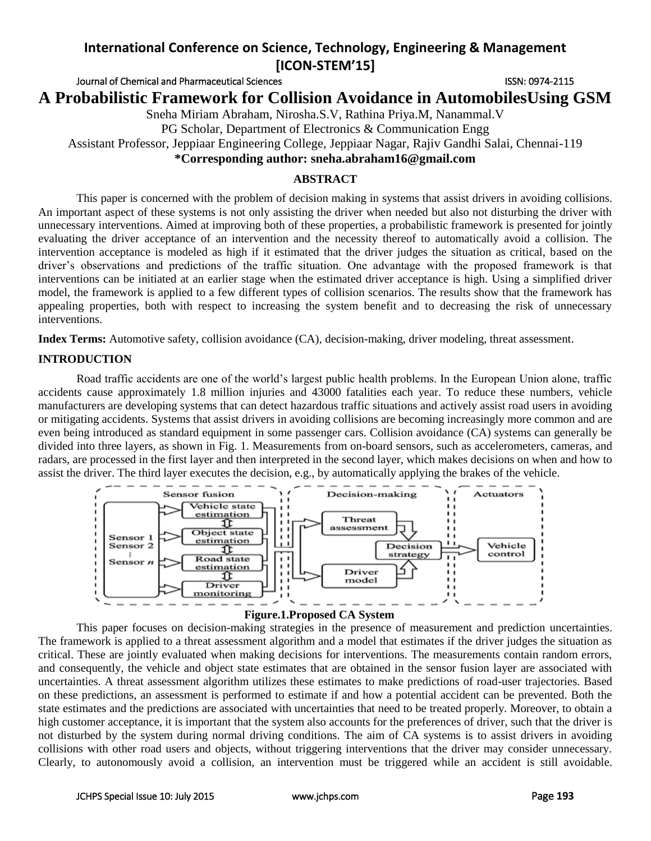Journal of Chemical and Pharmaceutical Sciences **ISSN: 0974-2115** ISSN: 0974-2115

**A Probabilistic Framework for Collision Avoidance in AutomobilesUsing GSM**

Sneha Miriam Abraham, Nirosha.S.V, Rathina Priya.M, Nanammal.V

PG Scholar, Department of Electronics & Communication Engg

Assistant Professor, Jeppiaar Engineering College, Jeppiaar Nagar, Rajiv Gandhi Salai, Chennai-119

**\*Corresponding author: sneha.abraham16@gmail.com**

## **ABSTRACT**

This paper is concerned with the problem of decision making in systems that assist drivers in avoiding collisions. An important aspect of these systems is not only assisting the driver when needed but also not disturbing the driver with unnecessary interventions. Aimed at improving both of these properties, a probabilistic framework is presented for jointly evaluating the driver acceptance of an intervention and the necessity thereof to automatically avoid a collision. The intervention acceptance is modeled as high if it estimated that the driver judges the situation as critical, based on the driver's observations and predictions of the traffic situation. One advantage with the proposed framework is that interventions can be initiated at an earlier stage when the estimated driver acceptance is high. Using a simplified driver model, the framework is applied to a few different types of collision scenarios. The results show that the framework has appealing properties, both with respect to increasing the system benefit and to decreasing the risk of unnecessary interventions.

**Index Terms:** Automotive safety, collision avoidance (CA), decision-making, driver modeling, threat assessment.

## **INTRODUCTION**

Road traffic accidents are one of the world's largest public health problems. In the European Union alone, traffic accidents cause approximately 1.8 million injuries and 43000 fatalities each year. To reduce these numbers, vehicle manufacturers are developing systems that can detect hazardous traffic situations and actively assist road users in avoiding or mitigating accidents. Systems that assist drivers in avoiding collisions are becoming increasingly more common and are even being introduced as standard equipment in some passenger cars. Collision avoidance (CA) systems can generally be divided into three layers, as shown in Fig. 1. Measurements from on-board sensors, such as accelerometers, cameras, and radars, are processed in the first layer and then interpreted in the second layer, which makes decisions on when and how to assist the driver. The third layer executes the decision, e.g., by automatically applying the brakes of the vehicle.



### **Figure.1.Proposed CA System**

This paper focuses on decision-making strategies in the presence of measurement and prediction uncertainties. The framework is applied to a threat assessment algorithm and a model that estimates if the driver judges the situation as critical. These are jointly evaluated when making decisions for interventions. The measurements contain random errors, and consequently, the vehicle and object state estimates that are obtained in the sensor fusion layer are associated with uncertainties. A threat assessment algorithm utilizes these estimates to make predictions of road-user trajectories. Based on these predictions, an assessment is performed to estimate if and how a potential accident can be prevented. Both the state estimates and the predictions are associated with uncertainties that need to be treated properly. Moreover, to obtain a high customer acceptance, it is important that the system also accounts for the preferences of driver, such that the driver is not disturbed by the system during normal driving conditions. The aim of CA systems is to assist drivers in avoiding collisions with other road users and objects, without triggering interventions that the driver may consider unnecessary. Clearly, to autonomously avoid a collision, an intervention must be triggered while an accident is still avoidable.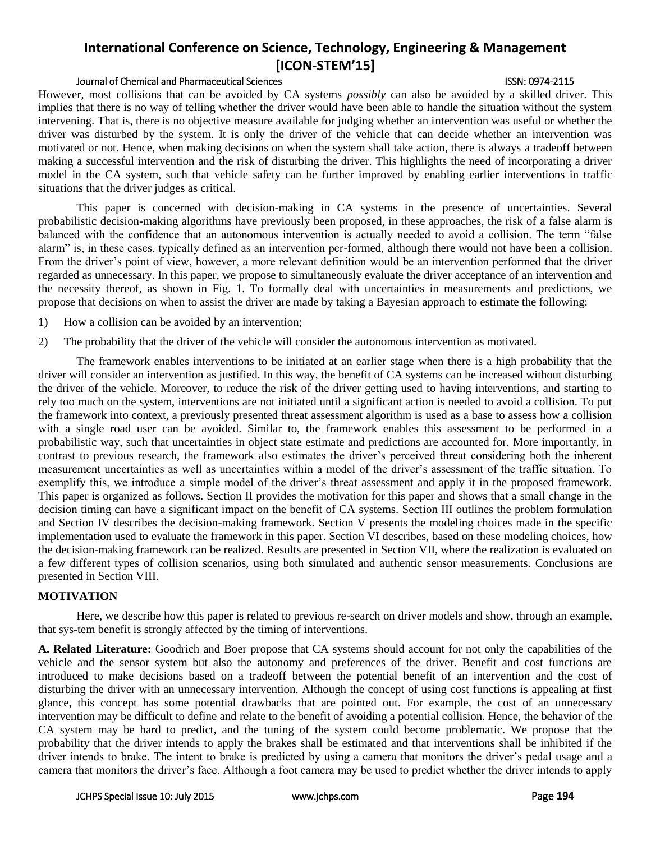### Journal of Chemical and Pharmaceutical Sciences ISSN: 0974-2115

However, most collisions that can be avoided by CA systems *possibly* can also be avoided by a skilled driver. This implies that there is no way of telling whether the driver would have been able to handle the situation without the system intervening. That is, there is no objective measure available for judging whether an intervention was useful or whether the driver was disturbed by the system. It is only the driver of the vehicle that can decide whether an intervention was motivated or not. Hence, when making decisions on when the system shall take action, there is always a tradeoff between making a successful intervention and the risk of disturbing the driver. This highlights the need of incorporating a driver model in the CA system, such that vehicle safety can be further improved by enabling earlier interventions in traffic situations that the driver judges as critical.

This paper is concerned with decision-making in CA systems in the presence of uncertainties. Several probabilistic decision-making algorithms have previously been proposed, in these approaches, the risk of a false alarm is balanced with the confidence that an autonomous intervention is actually needed to avoid a collision. The term "false alarm" is, in these cases, typically defined as an intervention per-formed, although there would not have been a collision. From the driver's point of view, however, a more relevant definition would be an intervention performed that the driver regarded as unnecessary. In this paper, we propose to simultaneously evaluate the driver acceptance of an intervention and the necessity thereof, as shown in Fig. 1. To formally deal with uncertainties in measurements and predictions, we propose that decisions on when to assist the driver are made by taking a Bayesian approach to estimate the following:

- 1) How a collision can be avoided by an intervention;
- 2) The probability that the driver of the vehicle will consider the autonomous intervention as motivated.

The framework enables interventions to be initiated at an earlier stage when there is a high probability that the driver will consider an intervention as justified. In this way, the benefit of CA systems can be increased without disturbing the driver of the vehicle. Moreover, to reduce the risk of the driver getting used to having interventions, and starting to rely too much on the system, interventions are not initiated until a significant action is needed to avoid a collision. To put the framework into context, a previously presented threat assessment algorithm is used as a base to assess how a collision with a single road user can be avoided. Similar to, the framework enables this assessment to be performed in a probabilistic way, such that uncertainties in object state estimate and predictions are accounted for. More importantly, in contrast to previous research, the framework also estimates the driver's perceived threat considering both the inherent measurement uncertainties as well as uncertainties within a model of the driver's assessment of the traffic situation. To exemplify this, we introduce a simple model of the driver's threat assessment and apply it in the proposed framework. This paper is organized as follows. Section II provides the motivation for this paper and shows that a small change in the decision timing can have a significant impact on the benefit of CA systems. Section III outlines the problem formulation and Section IV describes the decision-making framework. Section V presents the modeling choices made in the specific implementation used to evaluate the framework in this paper. Section VI describes, based on these modeling choices, how the decision-making framework can be realized. Results are presented in Section VII, where the realization is evaluated on a few different types of collision scenarios, using both simulated and authentic sensor measurements. Conclusions are presented in Section VIII.

### **MOTIVATION**

Here, we describe how this paper is related to previous re-search on driver models and show, through an example, that sys-tem benefit is strongly affected by the timing of interventions.

**A. Related Literature:** Goodrich and Boer propose that CA systems should account for not only the capabilities of the vehicle and the sensor system but also the autonomy and preferences of the driver. Benefit and cost functions are introduced to make decisions based on a tradeoff between the potential benefit of an intervention and the cost of disturbing the driver with an unnecessary intervention. Although the concept of using cost functions is appealing at first glance, this concept has some potential drawbacks that are pointed out. For example, the cost of an unnecessary intervention may be difficult to define and relate to the benefit of avoiding a potential collision. Hence, the behavior of the CA system may be hard to predict, and the tuning of the system could become problematic. We propose that the probability that the driver intends to apply the brakes shall be estimated and that interventions shall be inhibited if the driver intends to brake. The intent to brake is predicted by using a camera that monitors the driver's pedal usage and a camera that monitors the driver's face. Although a foot camera may be used to predict whether the driver intends to apply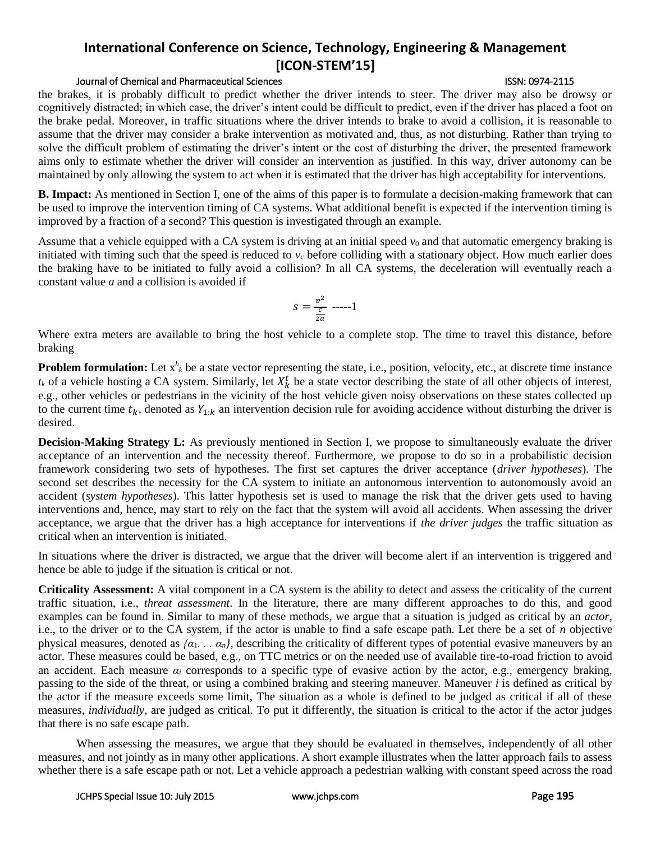## Journal of Chemical and Pharmaceutical Sciences **ISSN: 0974-2115** ISSN: 0974-2115

the brakes, it is probably difficult to predict whether the driver intends to steer. The driver may also be drowsy or cognitively distracted; in which case, the driver's intent could be difficult to predict, even if the driver has placed a foot on the brake pedal. Moreover, in traffic situations where the driver intends to brake to avoid a collision, it is reasonable to assume that the driver may consider a brake intervention as motivated and, thus, as not disturbing. Rather than trying to solve the difficult problem of estimating the driver's intent or the cost of disturbing the driver, the presented framework aims only to estimate whether the driver will consider an intervention as justified. In this way, driver autonomy can be maintained by only allowing the system to act when it is estimated that the driver has high acceptability for interventions.

**B. Impact:** As mentioned in Section I, one of the aims of this paper is to formulate a decision-making framework that can be used to improve the intervention timing of CA systems. What additional benefit is expected if the intervention timing is improved by a fraction of a second? This question is investigated through an example.

Assume that a vehicle equipped with a CA system is driving at an initial speed  $v_0$  and that automatic emergency braking is initiated with timing such that the speed is reduced to  $v_c$  before colliding with a stationary object. How much earlier does the braking have to be initiated to fully avoid a collision? In all CA systems, the deceleration will eventually reach a constant value *a* and a collision is avoided if

$$
s=\frac{v^2}{\frac{c}{2a}}\ \cdots 1
$$

Where extra meters are available to bring the host vehicle to a complete stop. The time to travel this distance, before braking

**Problem formulation:** Let  $x^h_k$  be a state vector representing the state, i.e., position, velocity, etc., at discrete time instance  $t_k$  of a vehicle hosting a CA system. Similarly, let  $X_k^t$  be a state vector describing the state of all other objects of interest, e.g., other vehicles or pedestrians in the vicinity of the host vehicle given noisy observations on these states collected up to the current time  $t_k$ , denoted as  $Y_{1:k}$  an intervention decision rule for avoiding accidence without disturbing the driver is desired.

**Decision-Making Strategy L:** As previously mentioned in Section I, we propose to simultaneously evaluate the driver acceptance of an intervention and the necessity thereof. Furthermore, we propose to do so in a probabilistic decision framework considering two sets of hypotheses. The first set captures the driver acceptance (*driver hypotheses*). The second set describes the necessity for the CA system to initiate an autonomous intervention to autonomously avoid an accident (*system hypotheses*). This latter hypothesis set is used to manage the risk that the driver gets used to having interventions and, hence, may start to rely on the fact that the system will avoid all accidents. When assessing the driver acceptance, we argue that the driver has a high acceptance for interventions if *the driver judges* the traffic situation as critical when an intervention is initiated.

In situations where the driver is distracted, we argue that the driver will become alert if an intervention is triggered and hence be able to judge if the situation is critical or not.

**Criticality Assessment:** A vital component in a CA system is the ability to detect and assess the criticality of the current traffic situation, i.e., *threat assessment*. In the literature, there are many different approaches to do this, and good examples can be found in. Similar to many of these methods, we argue that a situation is judged as critical by an *actor*, i.e., to the driver or to the CA system, if the actor is unable to find a safe escape path. Let there be a set of *n* objective physical measures, denoted as  $\{\alpha_1, \ldots, \alpha_n\}$ , describing the criticality of different types of potential evasive maneuvers by an actor. These measures could be based, e.g., on TTC metrics or on the needed use of available tire-to-road friction to avoid an accident. Each measure  $\alpha_i$  corresponds to a specific type of evasive action by the actor, e.g., emergency braking, passing to the side of the threat, or using a combined braking and steering maneuver. Maneuver *i* is defined as critical by the actor if the measure exceeds some limit, The situation as a whole is defined to be judged as critical if all of these measures, *individually*, are judged as critical. To put it differently, the situation is critical to the actor if the actor judges that there is no safe escape path.

When assessing the measures, we argue that they should be evaluated in themselves, independently of all other measures, and not jointly as in many other applications. A short example illustrates when the latter approach fails to assess whether there is a safe escape path or not. Let a vehicle approach a pedestrian walking with constant speed across the road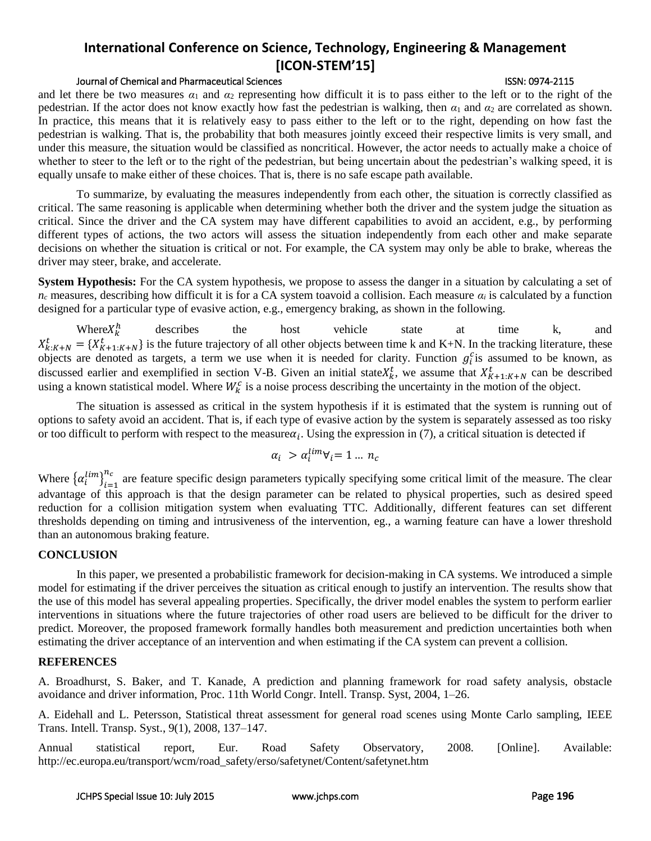### Journal of Chemical and Pharmaceutical Sciences **ISSN: 0974-2115** ISSN: 0974-2115

and let there be two measures  $\alpha_1$  and  $\alpha_2$  representing how difficult it is to pass either to the left or to the right of the pedestrian. If the actor does not know exactly how fast the pedestrian is walking, then  $\alpha_1$  and  $\alpha_2$  are correlated as shown. In practice, this means that it is relatively easy to pass either to the left or to the right, depending on how fast the pedestrian is walking. That is, the probability that both measures jointly exceed their respective limits is very small, and under this measure, the situation would be classified as noncritical. However, the actor needs to actually make a choice of whether to steer to the left or to the right of the pedestrian, but being uncertain about the pedestrian's walking speed, it is equally unsafe to make either of these choices. That is, there is no safe escape path available.

To summarize, by evaluating the measures independently from each other, the situation is correctly classified as critical. The same reasoning is applicable when determining whether both the driver and the system judge the situation as critical. Since the driver and the CA system may have different capabilities to avoid an accident, e.g., by performing different types of actions, the two actors will assess the situation independently from each other and make separate decisions on whether the situation is critical or not. For example, the CA system may only be able to brake, whereas the driver may steer, brake, and accelerate.

**System Hypothesis:** For the CA system hypothesis, we propose to assess the danger in a situation by calculating a set of  $n_c$  measures, describing how difficult it is for a CA system toavoid a collision. Each measure  $\alpha_i$  is calculated by a function designed for a particular type of evasive action, e.g., emergency braking, as shown in the following.

Where $X_k^h$ describes the host vehicle state at time k, and  $X_{k:K+N}^t = \{X_{K+1:K+N}^t\}$  is the future trajectory of all other objects between time k and K+N. In the tracking literature, these objects are denoted as targets, a term we use when it is needed for clarity. Function  $g_i^c$  is assumed to be known, as discussed earlier and exemplified in section V-B. Given an initial state  $X_k^t$ , we assume that  $X_{K+1:K+N}^t$  can be described using a known statistical model. Where  $W_k^c$  is a noise process describing the uncertainty in the motion of the object.

The situation is assessed as critical in the system hypothesis if it is estimated that the system is running out of options to safety avoid an accident. That is, if each type of evasive action by the system is separately assessed as too risky or too difficult to perform with respect to the measure  $a_i$ . Using the expression in (7), a critical situation is detected if

$$
\alpha_i > \alpha_i^{lim} \forall_i = 1 \dots n_c
$$

Where  $\left\{\alpha_i^{lim}\right\}_{i=1}^{n_c}$  $\frac{n_c}{n_{\text{c}}}$  are feature specific design parameters typically specifying some critical limit of the measure. The clear advantage of this approach is that the design parameter can be related to physical properties, such as desired speed reduction for a collision mitigation system when evaluating TTC. Additionally, different features can set different thresholds depending on timing and intrusiveness of the intervention, eg., a warning feature can have a lower threshold than an autonomous braking feature.

### **CONCLUSION**

In this paper, we presented a probabilistic framework for decision-making in CA systems. We introduced a simple model for estimating if the driver perceives the situation as critical enough to justify an intervention. The results show that the use of this model has several appealing properties. Specifically, the driver model enables the system to perform earlier interventions in situations where the future trajectories of other road users are believed to be difficult for the driver to predict. Moreover, the proposed framework formally handles both measurement and prediction uncertainties both when estimating the driver acceptance of an intervention and when estimating if the CA system can prevent a collision.

### **REFERENCES**

A. Broadhurst, S. Baker, and T. Kanade, A prediction and planning framework for road safety analysis, obstacle avoidance and driver information, Proc. 11th World Congr. Intell. Transp. Syst, 2004, 1–26.

A. Eidehall and L. Petersson, Statistical threat assessment for general road scenes using Monte Carlo sampling, IEEE Trans. Intell. Transp. Syst., 9(1), 2008, 137–147.

Annual statistical report, Eur. Road Safety Observatory, 2008. [Online]. Available: http://ec.europa.eu/transport/wcm/road\_safety/erso/safetynet/Content/safetynet.htm